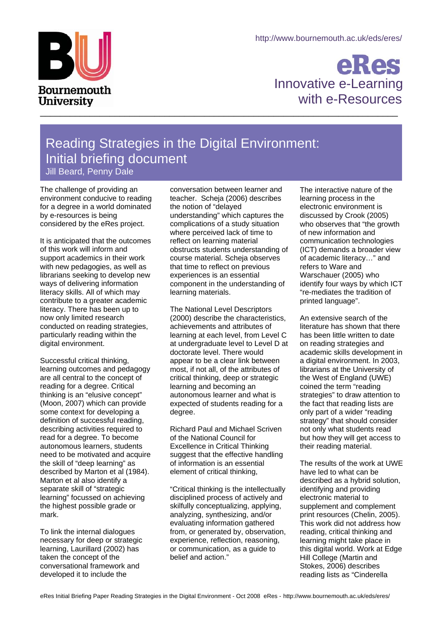

## eRes Innovative e-Learning Bournemouth<br>University with e-Resources

## Reading Strategies in the Digital Environment: Initial briefing document Jill Beard, Penny Dale

The challenge of providing an environment conducive to reading for a degree in a world dominated by e-resources is being considered by the eRes project.

It is anticipated that the outcomes of this work will inform and support academics in their work with new pedagogies, as well as librarians seeking to develop new ways of delivering information literacy skills. All of which may contribute to a greater academic literacy. There has been up to now only limited research conducted on reading strategies, particularly reading within the digital environment.

Successful critical thinking, learning outcomes and pedagogy are all central to the concept of reading for a degree. Critical thinking is an "elusive concept" (Moon, 2007) which can provide some context for developing a definition of successful reading, describing activities required to read for a degree. To become autonomous learners, students need to be motivated and acquire the skill of "deep learning" as described by Marton et al (1984). Marton et al also identify a separate skill of "strategic learning" focussed on achieving the highest possible grade or mark.

To link the internal dialogues necessary for deep or strategic learning, Laurillard (2002) has taken the concept of the conversational framework and developed it to include the

conversation between learner and teacher. Scheja (2006) describes the notion of "delayed understanding" which captures the complications of a study situation where perceived lack of time to reflect on learning material obstructs students understanding of course material. Scheja observes that time to reflect on previous experiences is an essential component in the understanding of learning materials.

The National Level Descriptors (2000) describe the characteristics, achievements and attributes of learning at each level, from Level C at undergraduate level to Level D at doctorate level. There would appear to be a clear link between most, if not all, of the attributes of critical thinking, deep or strategic learning and becoming an autonomous learner and what is expected of students reading for a degree.

Richard Paul and Michael Scriven of the National Council for Excellence in Critical Thinking suggest that the effective handling of information is an essential element of critical thinking,

"Critical thinking is the intellectually disciplined process of actively and skilfully conceptualizing, applying, analyzing, synthesizing, and/or evaluating information gathered from, or generated by, observation, experience, reflection, reasoning, or communication, as a guide to belief and action."

The interactive nature of the learning process in the electronic environment is discussed by Crook (2005) who observes that "the growth of new information and communication technologies (ICT) demands a broader view of academic literacy…" and refers to Ware and Warschauer (2005) who identify four ways by which ICT "re-mediates the tradition of printed language".

An extensive search of the literature has shown that there has been little written to date on reading strategies and academic skills development in a digital environment. In 2003, librarians at the University of the West of England (UWE) coined the term "reading strategies" to draw attention to the fact that reading lists are only part of a wider "reading strategy" that should consider not only what students read but how they will get access to their reading material.

The results of the work at UWE have led to what can be described as a hybrid solution, identifying and providing electronic material to supplement and complement print resources (Chelin, 2005). This work did not address how reading, critical thinking and learning might take place in this digital world. Work at Edge Hill College (Martin and Stokes, 2006) describes reading lists as "Cinderella